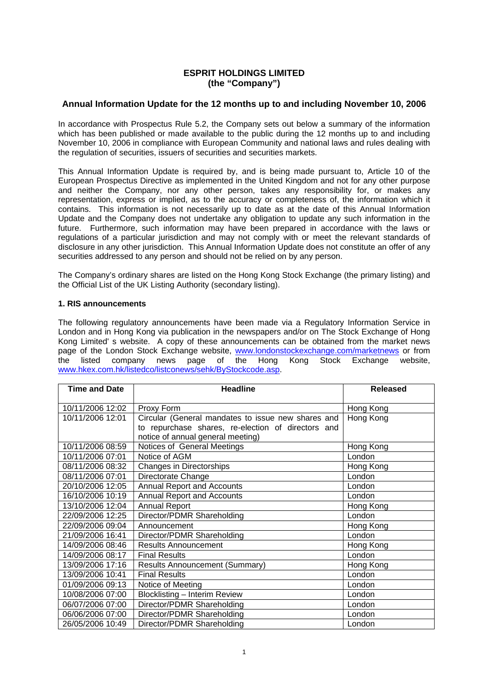## **ESPRIT HOLDINGS LIMITED (the "Company")**

## **Annual Information Update for the 12 months up to and including November 10, 2006**

In accordance with Prospectus Rule 5.2, the Company sets out below a summary of the information which has been published or made available to the public during the 12 months up to and including November 10, 2006 in compliance with European Community and national laws and rules dealing with the regulation of securities, issuers of securities and securities markets.

This Annual Information Update is required by, and is being made pursuant to, Article 10 of the European Prospectus Directive as implemented in the United Kingdom and not for any other purpose and neither the Company, nor any other person, takes any responsibility for, or makes any representation, express or implied, as to the accuracy or completeness of, the information which it contains. This information is not necessarily up to date as at the date of this Annual Information Update and the Company does not undertake any obligation to update any such information in the future. Furthermore, such information may have been prepared in accordance with the laws or regulations of a particular jurisdiction and may not comply with or meet the relevant standards of disclosure in any other jurisdiction. This Annual Information Update does not constitute an offer of any securities addressed to any person and should not be relied on by any person.

The Company's ordinary shares are listed on the Hong Kong Stock Exchange (the primary listing) and the Official List of the UK Listing Authority (secondary listing).

## **1. RIS announcements**

The following regulatory announcements have been made via a Regulatory Information Service in London and in Hong Kong via publication in the newspapers and/or on The Stock Exchange of Hong Kong Limited' s website. A copy of these announcements can be obtained from the market news page of the London Stock Exchange website, www.londonstockexchange.com/marketnews or from<br>the listed company news page of the Hong Kong Stock Exchange website, listed company news page of the Hong Kong Stock Exchange website, www.hkex.com.hk/listedco/listconews/sehk/ByStockcode.asp.

| <b>Time and Date</b> | <b>Headline</b>                                    | <b>Released</b> |
|----------------------|----------------------------------------------------|-----------------|
| 10/11/2006 12:02     | Proxy Form                                         | Hong Kong       |
| 10/11/2006 12:01     | Circular (General mandates to issue new shares and | Hong Kong       |
|                      | to repurchase shares, re-election of directors and |                 |
|                      | notice of annual general meeting)                  |                 |
| 10/11/2006 08:59     | Notices of General Meetings                        | Hong Kong       |
| 10/11/2006 07:01     | Notice of AGM                                      | London          |
| 08/11/2006 08:32     | Changes in Directorships                           | Hong Kong       |
| 08/11/2006 07:01     | Directorate Change                                 | London          |
| 20/10/2006 12:05     | <b>Annual Report and Accounts</b>                  | London          |
| 16/10/2006 10:19     | <b>Annual Report and Accounts</b>                  | London          |
| 13/10/2006 12:04     | <b>Annual Report</b>                               | Hong Kong       |
| 22/09/2006 12:25     | Director/PDMR Shareholding                         | London          |
| 22/09/2006 09:04     | Announcement                                       | Hong Kong       |
| 21/09/2006 16:41     | Director/PDMR Shareholding                         | London          |
| 14/09/2006 08:46     | <b>Results Announcement</b>                        | Hong Kong       |
| 14/09/2006 08:17     | <b>Final Results</b>                               | London          |
| 13/09/2006 17:16     | <b>Results Announcement (Summary)</b>              | Hong Kong       |
| 13/09/2006 10:41     | <b>Final Results</b>                               | London          |
| 01/09/2006 09:13     | Notice of Meeting                                  | London          |
| 10/08/2006 07:00     | <b>Blocklisting - Interim Review</b>               | London          |
| 06/07/2006 07:00     | Director/PDMR Shareholding                         | London          |
| 06/06/2006 07:00     | Director/PDMR Shareholding                         | London          |
| 26/05/2006 10:49     | Director/PDMR Shareholding                         | London          |